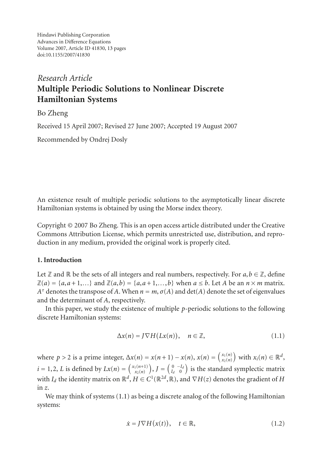Hindawi Publishing Corporation Advances in Difference Equations Volume 2007, Article ID 41830, [13](#page-11-0) pages doi:10.1155/2007/41830

# *Research Article* **Multiple Periodic Solutions to Nonlinear Discrete Hamiltonian Systems**

# Bo Zheng

Received 15 April 2007; Revised 27 June 2007; Accepted 19 August 2007

Recommended by Ondrej Dosly

An existence result of multiple periodic solutions to the asymptotically linear discrete Hamiltonian systems is obtained by using the Morse index theory.

Copyright © 2007 Bo Zheng. This is an open access article distributed under the Creative Commons Attribution License, which permits unrestricted use, distribution, and reproduction in any medium, provided the original work is properly cited.

## **1. Introduction**

Let  $\mathbb Z$  and  $\mathbb R$  be the sets of all integers and real numbers, respectively. For  $a, b \in \mathbb Z$ , define  $\mathbb{Z}(a) = \{a, a+1, \ldots\}$  and  $\mathbb{Z}(a, b) = \{a, a+1, \ldots, b\}$  when  $a \leq b$ . Let *A* be an  $n \times m$  matrix. *A*<sup> $\tau$ </sup> denotes the transpose of *A*. When  $n = m$ ,  $\sigma$ (*A*) and det(*A*) denote the set of eigenvalues and the determinant of *A*, respectively.

In this paper, we study the existence of multiple *p*-periodic solutions to the following discrete Hamiltonian systems:

<span id="page-0-0"></span>
$$
\Delta x(n) = J \nabla H(Lx(n)), \quad n \in \mathbb{Z}, \tag{1.1}
$$

where  $p > 2$  is a prime integer,  $\Delta x(n) = x(n+1) - x(n)$ ,  $x(n) = \begin{pmatrix} x_1(n) \\ x_2(n) \end{pmatrix}$  with  $x_i(n) \in \mathbb{R}^d$ ,  $i = 1, 2, L$  is defined by  $Lx(n) = {x_1(n+1) \choose x_2(n)}$ ,  $J = {0 \choose I_d} \atop{0 \choose 0}$  is the standard symplectic matrix with *I<sub>d</sub>* the identity matrix on  $\mathbb{R}^d$ ,  $H \in C^1(\mathbb{R}^{2d}, \mathbb{R})$ , and  $\nabla H(z)$  denotes the gradient of *H* in *z*.

We may think of systems [\(1.1\)](#page-0-0) as being a discrete analog of the following Hamiltonian systems:

<span id="page-0-1"></span>
$$
\dot{x} = J \nabla H(x(t)), \quad t \in \mathbb{R}, \tag{1.2}
$$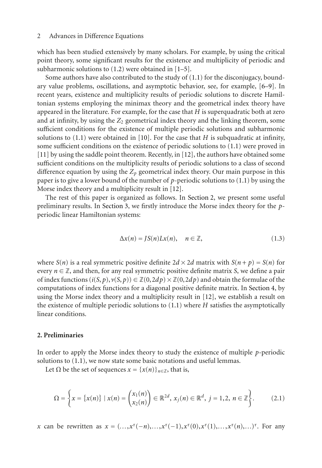which has been studied extensively by many scholars. For example, by using the critical point theory, some significant results for the existence and multiplicity of periodic and subharmonic solutions to [\(1.2\)](#page-0-1) were obtained in [\[1](#page-11-1)[–5](#page-12-0)].

Some authors have also contributed to the study of [\(1.1\)](#page-0-0) for the disconjugacy, boundary value problems, oscillations, and asymptotic behavior, see, for example, [\[6](#page-12-1)[–9](#page-12-2)]. In recent years, existence and multiplicity results of periodic solutions to discrete Hamiltonian systems employing the minimax theory and the geometrical index theory have appeared in the literature. For example, for the case that *H* is superquadratic both at zero and at infinity, by using the  $Z_2$  geometrical index theory and the linking theorem, some sufficient conditions for the existence of multiple periodic solutions and subharmonic solutions to  $(1.1)$  were obtained in [\[10](#page-12-3)]. For the case that *H* is subquadratic at infinity, some sufficient conditions on the existence of periodic solutions to [\(1.1\)](#page-0-0) were proved in [\[11\]](#page-12-4) by using the saddle point theorem. Recently, in [\[12](#page-12-5)], the authors have obtained some sufficient conditions on the multiplicity results of periodic solutions to a class of second difference equation by using the  $Z_p$  geometrical index theory. Our main purpose in this paper is to give a lower bound of the number of *p*-periodic solutions to [\(1.1\)](#page-0-0) by using the Morse index theory and a multiplicity result in [\[12](#page-12-5)].

The rest of this paper is organized as follows. In [Section 2,](#page-1-0) we present some useful preliminary results. In [Section 3,](#page-5-0) we firstly introduce the Morse index theory for the *p*periodic linear Hamiltonian systems:

<span id="page-1-1"></span>
$$
\Delta x(n) = JS(n)Lx(n), \quad n \in \mathbb{Z}, \tag{1.3}
$$

where *S*(*n*) is a real symmetric positive definite  $2d \times 2d$  matrix with  $S(n + p) = S(n)$  for every  $n \in \mathbb{Z}$ , and then, for any real symmetric positive definite matrix *S*, we define a pair of index functions  $(i(S, p), v(S, p)) \in \mathbb{Z}(0, 2dp) \times \mathbb{Z}(0, 2dp)$  and obtain the formulae of the computations of index functions for a diagonal positive definite matrix. In [Section 4,](#page-8-0) by using the Morse index theory and a multiplicity result in [\[12\]](#page-12-5), we establish a result on the existence of multiple periodic solutions to [\(1.1\)](#page-0-0) where *H* satisfies the asymptotically linear conditions.

## <span id="page-1-0"></span>**2. Preliminaries**

In order to apply the Morse index theory to study the existence of multiple *p*-periodic solutions to [\(1.1\)](#page-0-0), we now state some basic notations and useful lemmas.

Let  $\Omega$  be the set of sequences  $x = \{x(n)\}_{n \in \mathbb{Z}}$ , that is,

$$
\Omega = \left\{ x = \left\{ x(n) \right\} \mid x(n) = \begin{pmatrix} x_1(n) \\ x_2(n) \end{pmatrix} \in \mathbb{R}^{2d}, \ x_j(n) \in \mathbb{R}^d, \ j = 1, 2, \ n \in \mathbb{Z} \right\}.
$$
 (2.1)

*x* can be rewritten as  $x = (..., x^{\tau}(-n), ..., x^{\tau}(-1), x^{\tau}(0), x^{\tau}(1), ..., x^{\tau}(n), ...)$ <sup> $\tau$ </sup>. For any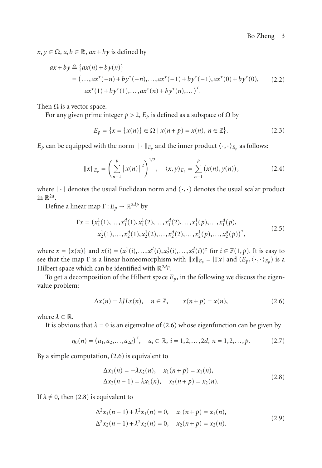Bo Zheng 3

 $x, y \in \Omega$ ,  $a, b \in \mathbb{R}$ ,  $ax + by$  is defined by

$$
ax + by \triangleq \{ax(n) + by(n)\}
$$
  
=  $(..., ax^{\tau}(-n) + by^{\tau}(-n),..., ax^{\tau}(-1) + by^{\tau}(-1), ax^{\tau}(0) + by^{\tau}(0),$  (2.2)  

$$
ax^{\tau}(1) + by^{\tau}(1),..., ax^{\tau}(n) + by^{\tau}(n),...)^{\tau}.
$$

Then  $\Omega$  is a vector space.

For any given prime integer  $p > 2$ ,  $E_p$  is defined as a subspace of  $\Omega$  by

$$
E_p = \{x = \{x(n)\} \in \Omega \mid x(n+p) = x(n), \ n \in \mathbb{Z}\}.
$$
 (2.3)

 $E_p$  can be equipped with the norm  $\|\cdot\|_{E_p}$  and the inner product  $\langle \cdot, \cdot \rangle_{E_p}$  as follows:

$$
||x||_{E_p} = \left(\sum_{n=1}^p |x(n)|^2\right)^{1/2}, \quad \langle x, y \rangle_{E_p} = \sum_{n=1}^p (x(n), y(n)), \tag{2.4}
$$

where  $|\cdot|$  denotes the usual Euclidean norm and  $(\cdot,\cdot)$  denotes the usual scalar product in  $\mathbb{R}^{2d}$ .

Define a linear map  $\Gamma: E_p \to \mathbb{R}^{2dp}$  by

$$
\Gamma x = (x_1^1(1), \dots, x_1^d(1), x_1^1(2), \dots, x_1^d(2), \dots, x_1^1(p), \dots, x_1^d(p),
$$
  
\n
$$
x_2^1(1), \dots, x_2^d(1), x_2^1(2), \dots, x_2^d(2), \dots, x_2^1(p), \dots, x_2^d(p))^{\tau},
$$
\n(2.5)

where  $x = \{x(n)\}\$ and  $x(i) = (x_1^1(i),...,x_1^d(i),x_2^1(i),...,x_2^d(i))^{\tau}$  for  $i \in \mathbb{Z}(1,p)$ . It is easy to see that the map  $\Gamma$  is a linear homeomorphism with  $||x||_{E_p} = |\Gamma x|$  and  $(E_p, \langle \cdot, \cdot \rangle_{E_p})$  is a Hilbert space which can be identified with <sup>R</sup>2*dp*.

To get a decomposition of the Hilbert space  $E_p$ , in the following we discuss the eigenvalue problem:

<span id="page-2-0"></span>
$$
\Delta x(n) = \lambda J L x(n), \quad n \in \mathbb{Z}, \qquad x(n+p) = x(n), \tag{2.6}
$$

where  $\lambda \in \mathbb{R}$ .

It is obvious that  $\lambda = 0$  is an eigenvalue of [\(2.6\)](#page-2-0) whose eigenfunction can be given by

$$
\eta_0(n) = (a_1, a_2, \dots, a_{2d})^{\tau}, \quad a_i \in \mathbb{R}, \ i = 1, 2, \dots, 2d, \ n = 1, 2, \dots, p. \tag{2.7}
$$

By a simple computation, [\(2.6\)](#page-2-0) is equivalent to

<span id="page-2-2"></span><span id="page-2-1"></span>
$$
\Delta x_1(n) = -\lambda x_2(n), \quad x_1(n+p) = x_1(n), \n\Delta x_2(n-1) = \lambda x_1(n), \quad x_2(n+p) = x_2(n).
$$
\n(2.8)

If  $\lambda \neq 0$ , then [\(2.8\)](#page-2-1) is equivalent to

$$
\Delta^{2} x_{1}(n-1) + \lambda^{2} x_{1}(n) = 0, \quad x_{1}(n+p) = x_{1}(n),
$$
  

$$
\Delta^{2} x_{2}(n-1) + \lambda^{2} x_{2}(n) = 0, \quad x_{2}(n+p) = x_{2}(n).
$$
 (2.9)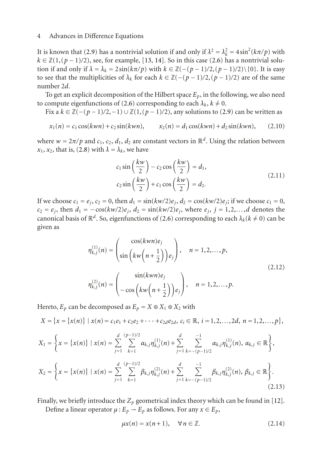It is known that [\(2.9\)](#page-2-2) has a nontrivial solution if and only if  $\lambda^2 = \lambda_k^2 = 4 \sin^2(k\pi/p)$  with  $k \in \mathbb{Z}(1, (p-1)/2)$ , see, for example, [\[13,](#page-12-6) [14\]](#page-12-7). So in this case [\(2.6\)](#page-2-0) has a nontrivial solution if and only if  $\lambda = \lambda_k = 2 \sin(k\pi/p)$  with  $k \in \mathbb{Z}(- (p-1)/2, (p-1)/2) \setminus \{0\}$ . It is easy to see that the multiplicities of  $\lambda_k$  for each  $k \in \mathbb{Z}(-(p-1)/2, (p-1)/2)$  are of the same number 2*d*.

To get an explicit decomposition of the Hilbert space  $E_p$ , in the following, we also need to compute eigenfunctions of [\(2.6\)](#page-2-0) corresponding to each  $\lambda_k$ ,  $k \neq 0$ .

Fix a *<sup>k</sup>* <sup>∈</sup> <sup>Z</sup>(−(*<sup>p</sup>* <sup>−</sup> 1)*/*2,−1) <sup>∪</sup> <sup>Z</sup>(1, (*<sup>p</sup>* <sup>−</sup> 1)*/*2), any solutions to [\(2.9\)](#page-2-2) can be written as

$$
x_1(n) = c_1 \cos(kwn) + c_2 \sin(kwn), \qquad x_2(n) = d_1 \cos(kwn) + d_2 \sin(kwn), \qquad (2.10)
$$

where  $w = 2\pi/p$  and  $c_1, c_2, d_1, d_2$  are constant vectors in  $\mathbb{R}^d$ . Using the relation between  $x_1, x_2$ , that is, [\(2.8\)](#page-2-1) with  $\lambda = \lambda_k$ , we have

$$
c_1 \sin\left(\frac{kw}{2}\right) - c_2 \cos\left(\frac{kw}{2}\right) = d_1,
$$
  

$$
c_2 \sin\left(\frac{kw}{2}\right) + c_1 \cos\left(\frac{kw}{2}\right) = d_2.
$$
 (2.11)

If we choose  $c_1 = e_j$ ,  $c_2 = 0$ , then  $d_1 = \sin(kw/2)e_j$ ,  $d_2 = \cos(kw/2)e_j$ ; if we choose  $c_1 = 0$ ,  $c_2 = e_j$ , then  $d_1 = -\cos(kw/2)e_j$ ,  $d_2 = \sin(kw/2)e_j$ , where  $e_j$ ,  $j = 1, 2, ..., d$  denotes the canonical basis of  $\mathbb{R}^d$ . So, eigenfunctions of [\(2.6\)](#page-2-0) corresponding to each  $\lambda_k$ ( $k \neq 0$ ) can be given as

$$
\eta_{k,j}^{(1)}(n) = \begin{pmatrix} \cos(kwn)e_j \\ \sin\left(kw\left(n+\frac{1}{2}\right)\right)e_j \end{pmatrix}, \quad n = 1, 2, \dots, p,
$$
\n
$$
\eta_{k,j}^{(2)}(n) = \begin{pmatrix} \sin(kwn)e_j \\ -\cos\left(kw\left(n+\frac{1}{2}\right)\right)e_j \end{pmatrix}, \quad n = 1, 2, \dots, p.
$$
\n(2.12)

Hereto,  $E_p$  can be decomposed as  $E_p = X \oplus X_1 \oplus X_2$  with

$$
X = \{x = \{x(n)\} \mid x(n) = c_1e_1 + c_2e_2 + \cdots + c_{2d}e_{2d}, \ c_i \in \mathbb{R}, \ i = 1, 2, \ldots, 2d, \ n = 1, 2, \ldots, p\},\
$$

$$
X_1 = \left\{ x = \left\{ x(n) \right\} \mid x(n) = \sum_{j=1}^d \sum_{k=1}^{(p-1)/2} \alpha_{k,j} \eta_{k,j}^{(1)}(n) + \sum_{j=1}^d \sum_{k=-(p-1)/2}^{-1} \alpha_{k,j} \eta_{k,j}^{(1)}(n), \ \alpha_{k,j} \in \mathbb{R} \right\},
$$
  

$$
X_2 = \left\{ x = \left\{ x(n) \right\} \mid x(n) = \sum_{j=1}^d \sum_{k=1}^{(p-1)/2} \beta_{k,j} \eta_{k,j}^{(2)}(n) + \sum_{j=1}^d \sum_{k=-(p-1)/2}^{-1} \beta_{k,j} \eta_{k,j}^{(2)}(n), \ \beta_{k,j} \in \mathbb{R} \right\}.
$$
  
(2.13)

Finally, we briefly introduce the  $Z_p$  geometrical index theory which can be found in [\[12\]](#page-12-5).

Define a linear operator  $\mu$  :  $E_p \rightarrow E_p$  as follows. For any  $x \in E_p$ ,

$$
\mu x(n) = x(n+1), \quad \forall n \in \mathbb{Z}.
$$
 (2.14)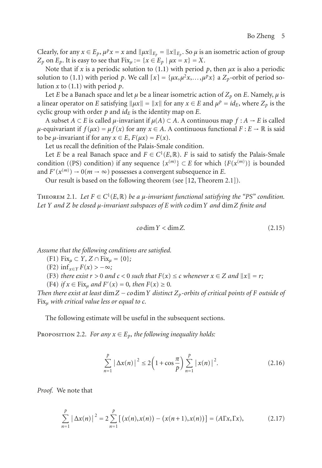Clearly, for any  $x \in E_p$ ,  $\mu^p x = x$  and  $\|\mu x\|_{E_p} = \|x\|_{E_p}$ . So  $\mu$  is an isometric action of group *Z<sub>p</sub>* on  $E_p$ . It is easy to see that  $Fix_u := \{x \in E_p \mid \mu x = x\} = X$ .

Note that if *x* is a periodic solution to [\(1.1\)](#page-0-0) with period  $p$ , then  $\mu x$  is also a periodic solution to [\(1.1\)](#page-0-0) with period p. We call  $[x] = { \mu x, \mu^2 x, \ldots, \mu^p x}$  a  $Z_p$ -orbit of period solution *x* to [\(1.1\)](#page-0-0) with period *p*.

Let *E* be a Banach space and let  $\mu$  be a linear isometric action of  $Z_p$  on *E*. Namely,  $\mu$  is a linear operator on *E* satisfying  $||\mu x|| = ||x||$  for any  $x \in E$  and  $\mu^p = id_E$ , where  $Z_p$  is the cyclic group with order  $p$  and  $id_E$  is the identity map on  $E$ .

A subset  $A \subset E$  is called  $\mu$ -invariant if  $\mu(A) \subset A$ . A continuous map  $f : A \to E$  is called *μ*-equivariant if  $f(\mu x) = \mu f(x)$  for any  $x \in A$ . A continuous functional  $F: E \to \mathbb{R}$  is said to be *μ*-invariant if for any  $x \in E$ ,  $F(\mu x) = F(x)$ .

Let us recall the definition of the Palais-Smale condition.

Let *E* be a real Banach space and  $F \in C^1(E, \mathbb{R})$ . *F* is said to satisfy the Palais-Smale condition ((PS) condition) if any sequence  $\{x^{(m)}\} \subset E$  for which  $\{F(x^{(m)})\}$  is bounded and  $F'(x^{(m)}) \to 0$  (*m*  $\to \infty$ ) possesses a convergent subsequence in *E*.

<span id="page-4-3"></span>Our result is based on the following theorem (see [\[12](#page-12-5), Theorem 2.1]).

THEOREM 2.1. Let  $F \in C^1(E, \mathbb{R})$  be a  $\mu$ -invariant functional satisfying the "PS" condition. *Let Y and Z be closed μ-invariant subspaces of E with co*dim*Y and* dim*Z finite and*

$$
codim Y < dim Z. \tag{2.15}
$$

*Assume that the following conditions are satisfied.*

(F1) Fix*<sup>μ</sup>* <sup>⊂</sup> *<sup>Y</sup>, <sup>Z</sup>* <sup>∩</sup> Fix*<sup>μ</sup>* = {0}*;*

- $(F2)$  inf<sub> $x \in Y$ </sub>  $F(x) > -\infty$ ;
- (F3) *there exist*  $r > 0$  *and*  $c < 0$  *such that*  $F(x) \le c$  *whenever*  $x \in Z$  *and*  $||x|| = r$ ;

(F4) *if*  $x \in Fix_{\mu}$  *and*  $F'(x) = 0$ *, then*  $F(x) \ge 0$ *.* 

*Then there exist at least* dim*<sup>Z</sup>* <sup>−</sup> *co*dim*<sup>Y</sup> distinct Zp-orbits of critical points of <sup>F</sup> outside of* Fix*<sup>μ</sup> with critical value less or equal to c.*

<span id="page-4-2"></span>The following estimate will be useful in the subsequent sections.

PROPOSITION 2.2. *For any*  $x \in E_p$ *, the following inequality holds:* 

<span id="page-4-1"></span><span id="page-4-0"></span>
$$
\sum_{n=1}^{p} |\Delta x(n)|^2 \le 2\left(1 + \cos\frac{\pi}{p}\right) \sum_{n=1}^{p} |x(n)|^2.
$$
 (2.16)

*Proof.* We note that

$$
\sum_{n=1}^{p} |\Delta x(n)|^2 = 2 \sum_{n=1}^{p} [(x(n), x(n)) - (x(n+1), x(n))] = (A\Gamma x, \Gamma x),
$$
 (2.17)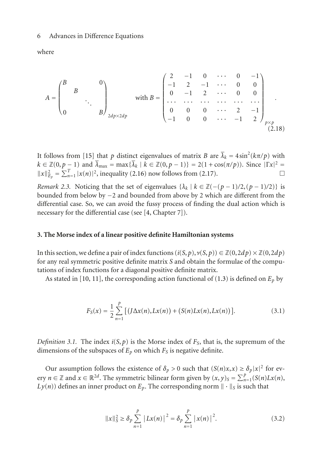where

$$
A = \begin{pmatrix} B & & & & 0 \\ & B & & & \\ & & \ddots & & \\ 0 & & & B \end{pmatrix}_{2dp \times 2dp} \quad \text{with } B = \begin{pmatrix} 2 & -1 & 0 & \cdots & 0 & -1 \\ -1 & 2 & -1 & \cdots & 0 & 0 \\ 0 & -1 & 2 & \cdots & 0 & 0 \\ \cdots & \cdots & \cdots & \cdots & \cdots & \cdots \\ 0 & 0 & 0 & \cdots & 2 & -1 \\ -1 & 0 & 0 & \cdots & -1 & 2 \end{pmatrix}_{p \times p}
$$
 (2.18)

It follows from [\[15\]](#page-12-8) that *p* distinct eigenvalues of matrix *B* are  $\bar{\lambda}_k = 4 \sin^2(k\pi/p)$  with  $k \in \mathbb{Z}(0, p-1)$  and  $\bar{\lambda}_{\max} = \max{\{\bar{\lambda}_k \mid k \in \mathbb{Z}(0, p-1)\}} = 2(1 + \cos(\pi/p))$ . Since  $|\Gamma x|^2 =$  $||x||_{E_p}^2 = \sum_{n=1}^T |x(n)|^2$ , inequality [\(2.16\)](#page-4-0) now follows from [\(2.17\)](#page-4-1).

*Remark 2.3.* Noticing that the set of eigenvalues  $\{\lambda_k \mid k \in \mathbb{Z}(-(p-1)/2, (p-1)/2)\}$  is bounded from below by −2 and bounded from above by 2 which are different from the differential case. So, we can avoid the fussy process of finding the dual action which is necessary for the differential case (see [\[4](#page-12-9), Chapter 7]).

#### <span id="page-5-0"></span>**3. The Morse index of a linear positive definite Hamiltonian systems**

In this section, we define a pair of index functions  $(i(S, p), \gamma(S, p)) \in \mathbb{Z}(0, 2dp) \times \mathbb{Z}(0, 2dp)$ for any real symmetric positive definite matrix *S* and obtain the formulae of the computations of index functions for a diagonal positive definite matrix.

As stated in [\[10,](#page-12-3) [11\]](#page-12-4), the corresponding action functional of [\(1.3\)](#page-1-1) is defined on  $E_p$  by

$$
F_S(x) = \frac{1}{2} \sum_{n=1}^{p} \left[ \left( J \Delta x(n), Lx(n) \right) + \left( S(n) Lx(n), Lx(n) \right) \right].
$$
 (3.1)

<span id="page-5-2"></span>*Definition 3.1.* The index  $i(S, p)$  is the Morse index of  $F_S$ , that is, the supremum of the dimensions of the subspaces of  $E_p$  on which  $F_S$  is negative definite.

Our assumption follows the existence of  $\delta_p > 0$  such that  $(S(n)x, x) \ge \delta_p |x|^2$  for every  $n \in \mathbb{Z}$  and  $x \in \mathbb{R}^{2d}$ . The symmetric bilinear form given by  $(x, y)_S = \sum_{n=1}^p (S(n)Lx(n))$ ,  $Ly(n)$ ) defines an inner product on  $E_p$ . The corresponding norm  $\|\cdot\|_S$  is such that

<span id="page-5-1"></span>
$$
||x||_S^2 \ge \delta_p \sum_{n=1}^p |Lx(n)|^2 = \delta_p \sum_{n=1}^p |x(n)|^2.
$$
 (3.2)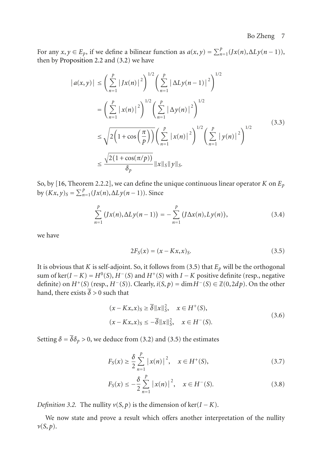For any  $x, y \in E_p$ , if we define a bilinear function as  $a(x, y) = \sum_{n=1}^p (Jx(n), \Delta Ly(n-1)),$ then by [Proposition 2.2](#page-4-2) and [\(3.2\)](#page-5-1) we have

$$
|a(x,y)| \le \left(\sum_{n=1}^{p} |Jx(n)|^2\right)^{1/2} \left(\sum_{n=1}^{p} |\Delta Ly(n-1)|^2\right)^{1/2}
$$
  
=  $\left(\sum_{n=1}^{p} |x(n)|^2\right)^{1/2} \left(\sum_{n=1}^{p} |\Delta y(n)|^2\right)^{1/2}$   
 $\le \sqrt{2\left(1 + \cos\left(\frac{\pi}{p}\right)\right)} \left(\sum_{n=1}^{p} |x(n)|^2\right)^{1/2} \left(\sum_{n=1}^{p} |y(n)|^2\right)^{1/2}$   
 $\le \frac{\sqrt{2(1 + \cos(\pi/p))}}{\delta_p} ||x||_S ||y||_S.$  (3.3)

So, by [\[16](#page-12-10), Theorem 2.2.2], we can define the unique continuous linear operator *K* on *Ep*  $\frac{dy}{dx}(Kx, y)_S = \sum_{n=1}^p (Jx(n), \Delta Ly(n-1)).$  Since

$$
\sum_{n=1}^{p} (Jx(n), \Delta Ly(n-1)) = -\sum_{n=1}^{p} (J\Delta x(n), Ly(n)), \qquad (3.4)
$$

we have

<span id="page-6-0"></span>
$$
2F_S(x) = (x - Kx, x)_S.
$$
 (3.5)

It is obvious that *K* is self-adjoint. So, it follows from [\(3.5\)](#page-6-0) that  $E_p$  will be the orthogonal sum of ker( $I - K$ ) =  $H^0(S)$ ,  $H^-(S)$  and  $H^+(S)$  with  $I - K$  positive definite (resp., negative definite) on  $H^+(S)$  (resp.,  $H^-(S)$ ). Clearly,  $i(S, p) = \dim H^-(S) \in \mathbb{Z}(0, 2dp)$ . On the other hand, there exists  $\overline{\delta} > 0$  such that

$$
(x - Kx, x)_S \ge \overline{\delta} ||x||_S^2, \quad x \in H^+(S),
$$
  

$$
(x - Kx, x)_S \le -\overline{\delta} ||x||_S^2, \quad x \in H^-(S).
$$
 (3.6)

Setting  $\delta = \overline{\delta \delta_p} > 0$ , we deduce from [\(3.2\)](#page-5-1) and [\(3.5\)](#page-6-0) the estimates

<span id="page-6-3"></span>
$$
F_S(x) \ge \frac{\delta}{2} \sum_{n=1}^p |x(n)|^2, \quad x \in H^+(S), \tag{3.7}
$$

<span id="page-6-4"></span>
$$
F_S(x) \le -\frac{\delta}{2} \sum_{n=1}^p |x(n)|^2, \quad x \in H^-(S). \tag{3.8}
$$

<span id="page-6-1"></span>*Definition 3.2.* The nullity  $v(S, p)$  is the dimension of ker( $I - K$ ).

<span id="page-6-2"></span>We now state and prove a result which offers another interpretation of the nullity *ν*(*S*, *p*).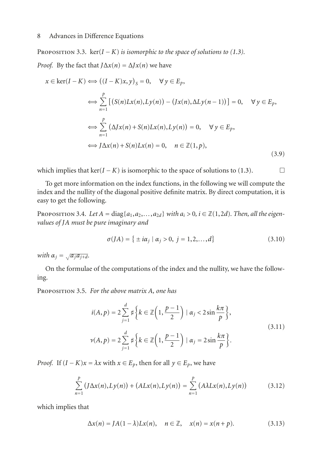PROPOSITION 3.3.  $\text{ker}(I - K)$  *is isomorphic to the space of solutions to [\(1.3\)](#page-1-1). Proof.* By the fact that  $J\Delta x(n) = \Delta Jx(n)$  we have

$$
x \in \ker(I - K) \iff ((I - K)x, y)_S = 0, \quad \forall y \in E_p,
$$
  
\n
$$
\iff \sum_{n=1}^p [(S(n)Lx(n), Ly(n)) - (Jx(n), \Delta Ly(n - 1))] = 0, \quad \forall y \in E_p,
$$
  
\n
$$
\iff \sum_{n=1}^p (\Delta Jx(n) + S(n)Lx(n), Ly(n)) = 0, \quad \forall y \in E_p,
$$
  
\n
$$
\iff J\Delta x(n) + S(n)Lx(n) = 0, \quad n \in \mathbb{Z}(1, p),
$$
  
\n(3.9)

which implies that  $\ker(I - K)$  is isomorphic to the space of solutions to [\(1.3\)](#page-1-1).

To get more information on the index functions, in the following we will compute the index and the nullity of the diagonal positive definite matrix. By direct computation, it is easy to get the following.

<span id="page-7-1"></span>PROPOSITION 3.4. Let  $A = \text{diag}\{a_1, a_2, \ldots, a_{2d}\}\$  *with*  $a_i > 0$ ,  $i \in \mathbb{Z}(1, 2d)$ *. Then, all the eigenvalues of JA must be pure imaginary and*

$$
\sigma(JA) = \{ \pm i\alpha_j \mid \alpha_j > 0, \ j = 1, 2, \dots, d \}
$$
 (3.10)

*with*  $\alpha_j = \sqrt{a_j a_{j+d}}$ *.* 

<span id="page-7-2"></span>On the formulae of the computations of the index and the nullity, we have the following.

Proposition 3.5. *For the above matrix A, one has*

$$
i(A, p) = 2 \sum_{j=1}^{d} \sharp \left\{ k \in \mathbb{Z} \left( 1, \frac{p-1}{2} \right) \mid \alpha_j < 2 \sin \frac{k\pi}{p} \right\},\
$$
\n
$$
\nu(A, p) = 2 \sum_{j=1}^{d} \sharp \left\{ k \in \mathbb{Z} \left( 1, \frac{p-1}{2} \right) \mid \alpha_j = 2 \sin \frac{k\pi}{p} \right\}.\tag{3.11}
$$

*Proof.* If  $(I - K)x = \lambda x$  with  $x \in E_p$ , then for all  $y \in E_p$ , we have

$$
\sum_{n=1}^{p} (J\Delta x(n), Ly(n)) + (ALx(n), Ly(n)) = \sum_{n=1}^{p} (A\lambda Lx(n), Ly(n))
$$
 (3.12)

which implies that

<span id="page-7-0"></span>
$$
\Delta x(n) = JA(1 - \lambda)Lx(n), \quad n \in \mathbb{Z}, \quad x(n) = x(n + p). \tag{3.13}
$$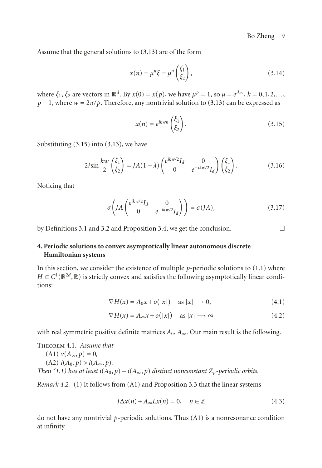Assume that the general solutions to [\(3.13\)](#page-7-0) are of the form

$$
x(n) = \mu^n \xi = \mu^n \begin{pmatrix} \xi_1 \\ \xi_2 \end{pmatrix},
$$
\n(3.14)

where  $\xi_1$ ,  $\xi_2$  are vectors in  $\mathbb{R}^d$ . By  $x(0) = x(p)$ , we have  $\mu^p = 1$ , so  $\mu = e^{ikw}$ ,  $k = 0, 1, 2, \ldots$ ,  $p - 1$ , where  $w = 2\pi/p$ . Therefore, any nontrivial solution to [\(3.13\)](#page-7-0) can be expressed as

<span id="page-8-1"></span>
$$
x(n) = e^{ikwn} \begin{pmatrix} \xi_1 \\ \xi_2 \end{pmatrix}.
$$
 (3.15)

Substituting [\(3.15\)](#page-8-1) into [\(3.13\)](#page-7-0), we have

$$
2i\sin\frac{kw}{2}\begin{pmatrix}\xi_1\\\xi_2\end{pmatrix} = JA(1-\lambda)\begin{pmatrix}e^{ikw/2}I_d & 0\\ 0 & e^{-ikw/2}I_d\end{pmatrix}\begin{pmatrix}\xi_1\\\xi_2\end{pmatrix}.
$$
 (3.16)

Noticing that

$$
\sigma\left( JA \begin{pmatrix} e^{ikw/2}I_d & 0\\ 0 & e^{-ikw/2}I_d \end{pmatrix} \right) = \sigma(JA),\tag{3.17}
$$

by Definitions [3.1](#page-5-2) and [3.2](#page-6-1) and [Proposition 3.4,](#page-7-1) we get the conclusion.

# <span id="page-8-0"></span>**4. Periodic solutions to convex asymptotically linear autonomous discrete Hamiltonian systems**

In this section, we consider the existence of multiple  $p$ -periodic solutions to  $(1.1)$  where  $H \in C^1(\mathbb{R}^{2d}, \mathbb{R})$  is strictly convex and satisfies the following asymptotically linear conditions:

<span id="page-8-4"></span><span id="page-8-2"></span>
$$
\nabla H(x) = A_0 x + o(|x|) \quad \text{as } |x| \longrightarrow 0,
$$
\n(4.1)

$$
\nabla H(x) = A_{\infty} x + o(|x|) \quad \text{as } |x| \longrightarrow \infty \tag{4.2}
$$

<span id="page-8-3"></span>with real symmetric positive definite matrices  $A_0$ ,  $A_\infty$ . Our main result is the following.

Theorem 4.1. *Assume that*

 $(A1)$   $\nu(A_{\infty}, p) = 0,$  $(A2)$   $i(A_0, p) > i(A_{\infty}, p)$ . *Then* [\(1.1\)](#page-0-0) has at least  $i(A_0, p) - i(A_\infty, p)$  *distinct nonconstant*  $Z_p$ -periodic orbits.

<span id="page-8-5"></span>*Remark 4.2.* (1) It follows from (A1) and [Proposition 3.3](#page-6-2) that the linear systems

$$
J\Delta x(n) + A_{\infty}Lx(n) = 0, \quad n \in \mathbb{Z}
$$
 (4.3)

do not have any nontrivial *p*-periodic solutions. Thus (A1) is a nonresonance condition at infinity.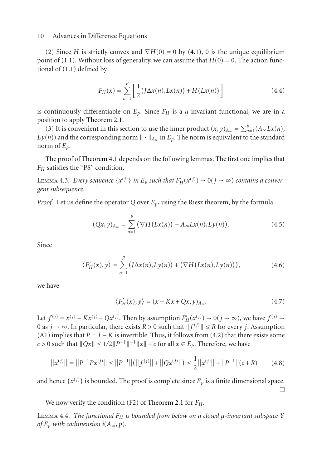(2) Since *H* is strictly convex and  $\nabla H(0) = 0$  by [\(4.1\)](#page-8-2), 0 is the unique equilibrium point of [\(1.1\)](#page-0-0). Without loss of generality, we can assume that  $H(0) = 0$ . The action functional of [\(1.1\)](#page-0-0) defined by

$$
F_H(x) = \sum_{n=1}^{p} \left[ \frac{1}{2} (J \Delta x(n), Lx(n)) + H(Lx(n)) \right]
$$
 (4.4)

is continuously differentiable on  $E_p$ . Since  $F_H$  is a  $\mu$ -invariant functional, we are in a position to apply [Theorem 2.1.](#page-4-3)

(3) It is convenient in this section to use the inner product  $(x, y)_{A_\infty} = \sum_{n=1}^p (A_\infty Lx(n))$ ,  $Ly(n)$ ) and the corresponding norm  $\|\cdot\|_{A_{\infty}}$  in  $E_p$ . The norm is equivalent to the standard norm of  $E_p$ .

<span id="page-9-0"></span>The proof of [Theorem 4.1](#page-8-3) depends on the following lemmas. The first one implies that *F<sub>H</sub>* satisfies the "PS" condition.

Lemma 4.3. *Every sequence*  $\{x^{(j)}\}$  *in E<sub>p</sub>* such that  $F'_H(x^{(j)}) \to 0$  ( $j \to \infty$ ) contains a conver*gent subsequence.*

*Proof.* Let us define the operator *Q* over *Ep*, using the Riesz theorem, by the formula

$$
(Qx, y)_{A_{\infty}} = \sum_{n=1}^{p} (\nabla H(Lx(n)) - A_{\infty}Lx(n), Ly(n)).
$$
 (4.5)

Since

$$
\langle F_H'(x), y \rangle = \sum_{n=1}^p \left( J \Delta x(n), L y(n) \right) + \left( \nabla H(L x(n), L y(n)) \right), \tag{4.6}
$$

we have

$$
\langle F_H'(x), y \rangle = (x - Kx + Qx, y)_{A_\infty}.\tag{4.7}
$$

Let *f*<sup>(*j*)</sup> = *x*<sup>(*j*)</sup> − *Kx*<sup>(*j*)</sup> + *Qx*<sup>(*j*)</sup>. Then by assumption  $F'_H(x^{(j)}) \to 0$ (*j* → ∞), we have *f*<sup>(*j*)</sup> → 0 as *j* → ∞. In particular, there exists *R* > 0 such that  $|| f^{(j)} || \le R$  for every *j*. Assumption (A1) implies that  $P = I - K$  is invertible. Thus, it follows from [\(4.2\)](#page-8-4) that there exists some *c* > 0 such that  $||Qx|| ≤ 1/2||P^{-1}||^{-1}||x|| + c$  for all  $x ∈ E_p$ . Therefore, we have

$$
||x^{(j)}|| = ||P^{-1}Px^{(j)}|| \le ||P^{-1}||(||f^{(j)}|| + ||Qx^{(j)}||) \le \frac{1}{2}||x^{(j)}|| + ||P^{-1}||(c+R)
$$
 (4.8)

and hence  $\{x^{(j)}\}$  is bounded. The proof is complete since  $E_p$  is a finite dimensional space.  $\Box$ 

<span id="page-9-1"></span>We now verify the condition (F2) of [Theorem 2.1](#page-4-3) for  $F_H$ .

Lemma 4.4. *The functional FH is bounded from below on a closed μ-invariant subspace Y of*  $E_p$  *with codimension i*( $A_\infty$ ,  $p$ ).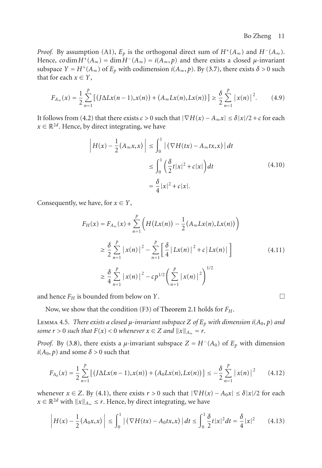*Proof.* By assumption (A1),  $E_p$  is the orthogonal direct sum of  $H^+(A_{\infty})$  and  $H^-(A_{\infty})$ . Hence,  $\coth H^+(A_{\infty}) = \dim H^-(A_{\infty}) = i(A_{\infty}, p)$  and there exists a closed *μ*-invariant subspace  $Y = H^+(A_{\infty})$  of  $E_p$  with codimension  $i(A_{\infty}, p)$ . By [\(3.7\)](#page-6-3), there exists  $\delta > 0$  such that for each  $x \in Y$ ,

$$
F_{A_{\infty}}(x) = \frac{1}{2} \sum_{n=1}^{p} \left[ \left( J \Delta L x(n-1), x(n) \right) + \left( A_{\infty} L x(n), L x(n) \right) \right] \ge \frac{\delta}{2} \sum_{n=1}^{p} \left| x(n) \right|^2. \tag{4.9}
$$

It follows from [\(4.2\)](#page-8-4) that there exists  $c > 0$  such that  $|\nabla H(x) - A_{\infty}x| \le \delta |x|/2 + c$  for each  $x \in \mathbb{R}^{2d}$ . Hence, by direct integrating, we have

$$
\left| H(x) - \frac{1}{2} (A_{\infty} x, x) \right| \le \int_0^1 \left| \left( \nabla H(tx) - A_{\infty} tx, x \right) \right| dt
$$
  
\n
$$
\le \int_0^1 \left( \frac{\delta}{2} t |x|^2 + c |x| \right) dt
$$
  
\n
$$
= \frac{\delta}{4} |x|^2 + c |x|.
$$
\n(4.10)

Consequently, we have, for  $x \in Y$ ,

$$
F_H(x) = F_{A_{\infty}}(x) + \sum_{n=1}^{p} \left( H(Lx(n)) - \frac{1}{2} (A_{\infty} Lx(n), Lx(n)) \right)
$$
  
\n
$$
\geq \frac{\delta}{2} \sum_{n=1}^{p} |x(n)|^2 - \sum_{n=1}^{p} \left[ \frac{\delta}{4} |Lx(n)|^2 + c |Lx(n)| \right]
$$
  
\n
$$
\geq \frac{\delta}{4} \sum_{n=1}^{p} |x(n)|^2 - cp^{1/2} \left( \sum_{n=1}^{p} |x(n)|^2 \right)^{1/2}
$$
\n(4.11)

and hence  $F_H$  is bounded from below on *Y*.

<span id="page-10-0"></span>Now, we show that the condition (F3) of [Theorem 2.1](#page-4-3) holds for *FH*.

Lemma 4.5. *There exists a closed μ-invariant subspace Z of Ep with dimension i*(*A*0, *p*) *and some*  $r > 0$  *such that*  $F(x) < 0$  *whenever*  $x \in Z$  *and*  $||x||_{A_{\infty}} = r$ *.* 

*Proof.* By [\(3.8\)](#page-6-4), there exists a *μ*-invariant subspace  $Z = H^-(A_0)$  of  $E_p$  with dimension  $i(A_0, p)$  and some  $\delta > 0$  such that

$$
F_{A_0}(x) = \frac{1}{2} \sum_{n=1}^{p} \left[ \left( J \Delta L x(n-1), x(n) \right) + \left( A_0 L x(n), L x(n) \right) \right] \leq -\frac{\delta}{2} \sum_{n=1}^{p} \left| x(n) \right|^2 \tag{4.12}
$$

whenever  $x \in Z$ . By [\(4.1\)](#page-8-2), there exists  $r > 0$  such that  $|\nabla H(x) - A_0x| \le \delta |x|/2$  for each *x* ∈  $\mathbb{R}^{2d}$  with  $||x||_{A_{\infty}} \le r$ . Hence, by direct integrating, we have

$$
\left| H(x) - \frac{1}{2} (A_0 x, x) \right| \le \int_0^1 \left| \left( \nabla H(tx) - A_0 tx, x \right) \right| dt \le \int_0^1 \frac{\delta}{2} t |x|^2 dt = \frac{\delta}{4} |x|^2 \tag{4.13}
$$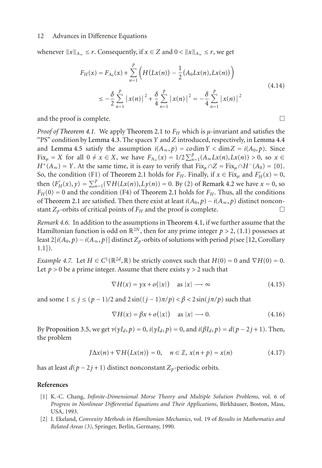whenever  $||x||_{A_{\infty}} \leq r$ . Consequently, if  $x \in Z$  and  $0 < ||x||_{A_{\infty}} \leq r$ , we get

$$
F_H(x) = F_{A_0}(x) + \sum_{n=1}^p \left( H(Lx(n)) - \frac{1}{2} (A_0 Lx(n), Lx(n)) \right)
$$
  

$$
\leq -\frac{\delta}{2} \sum_{n=1}^p |x(n)|^2 + \frac{\delta}{4} \sum_{n=1}^p |x(n)|^2 = -\frac{\delta}{4} \sum_{n=1}^p |x(n)|^2
$$
(4.14)

and the proof is complete.

*Proof of [Theorem 4.1.](#page-8-3)* We apply [Theorem 2.1](#page-4-3) to  $F_H$  which is  $\mu$ -invariant and satisfies the "PS" condition by [Lemma 4.3.](#page-9-0) The spaces *Y* and *Z* introduced, respectively, in [Lemma 4.4](#page-9-1) and [Lemma 4.5](#page-10-0) satisfy the assumption  $i(A_\infty, p) = \text{codim } Y < \dim Z = i(A_0, p)$ . Since  $\lim_{x \to \infty} F_{X} = X$  for all  $0 \neq x \in X$ , we have  $F_{A_{\infty}}(x) = 1/2 \sum_{n=1}^{p} (A_{\infty} Lx(n), Lx(n)) > 0$ , so  $x \in X$  $H^+(A_\infty) = Y$ . At the same time, it is easy to verify that Fix<sub>*u*</sub> ∩  $Z = Fix_u \cap H^-(A_0) = \{0\}$ . So, the condition (F1) of [Theorem 2.1](#page-4-3) holds for  $F_H$ . Finally, if  $x \in \text{Fix}_{\mu}$  and  $F'_H(x) = 0$ , then  $\langle F'_H(x), y \rangle = \sum_{n=1}^p (\nabla H(Lx(n)), Ly(n)) = 0$ . By (2) of [Remark 4.2](#page-8-5) we have  $x = 0$ , so  $F_H(0) = 0$  and the condition (F4) of [Theorem 2.1](#page-4-3) holds for  $F_H$ . Thus, all the conditions of [Theorem 2.1](#page-4-3) are satisfied. Then there exist at least *i*( $A_0$ ,  $p$ ) − *i*( $A_\infty$ ,  $p$ ) distinct nonconstant  $Z_\infty$ -orbits of critical points of  $F_\omega$  and the proof is complete. stant  $Z_p$ -orbits of critical points of  $F_H$  and the proof is complete.

*Remark 4.6.* In addition to the assumptions in [Theorem 4.1,](#page-8-3) if we further assume that the Hamiltonian function is odd on  $\mathbb{R}^{2N}$ , then for any prime integer  $p > 2$ , [\(1.1\)](#page-0-0) possesses at least  $2[i(A_0, p) - i(A_\infty, p)]$  distinct  $Z_p$ -orbits of solutions with period  $p$ (see [\[12,](#page-12-5) Corollary 1.1]).

*Example 4.7.* Let  $H \in C^1(\mathbb{R}^{2d}, \mathbb{R})$  be strictly convex such that  $H(0) = 0$  and  $\nabla H(0) = 0$ . Let  $p > 0$  be a prime integer. Assume that there exists  $\gamma > 2$  such that

$$
\nabla H(x) = \gamma x + o(|x|) \quad \text{as } |x| \longrightarrow \infty \tag{4.15}
$$

and some 1 <sup>≤</sup> *<sup>j</sup>* <sup>≤</sup> (*<sup>p</sup>* <sup>−</sup> 1)*/*2 and 2 sin((*<sup>j</sup>* <sup>−</sup> 1)*π/p*) *<β<* 2 sin(*jπ/p*) such that

$$
\nabla H(x) = \beta x + o(|x|) \quad \text{as } |x| \longrightarrow 0. \tag{4.16}
$$

By [Proposition 3.5,](#page-7-2) we get  $ν(γI_d, ρ) = 0$ ,  $i(γI_d, ρ) = 0$ , and  $i(βI_d, ρ) = d(p - 2j + 1)$ . Then, the problem

$$
J\Delta x(n) + \nabla H(Lx(n)) = 0, \quad n \in \mathbb{Z}, \, x(n+p) = x(n) \tag{4.17}
$$

has at least  $d(p-2j+1)$  distinct nonconstant  $Z_p$ -periodic orbits.

#### <span id="page-11-0"></span>**References**

- <span id="page-11-1"></span>[1] K.-C. Chang, *Infinite-Dimensional Morse Theory and Multiple Solution Problems*, vol. 6 of *Progress in Nonlinear Differential Equations and Their Applications*, Birkhauser, Boston, Mass, ¨ USA, 1993.
- [2] I. Ekeland, *Convexity Methods in Hamiltonian Mechanics*, vol. 19 of *Results in Mathematics and Related Areas (3)*, Springer, Berlin, Germany, 1990.